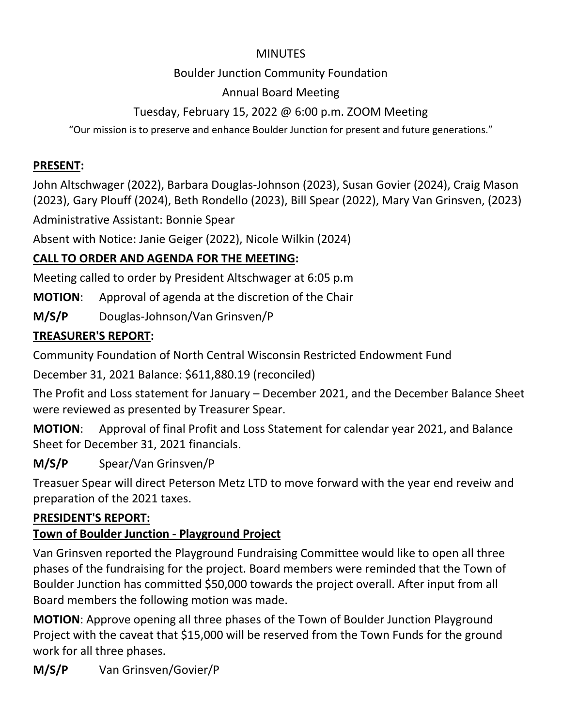#### MINUTES

#### Boulder Junction Community Foundation

#### Annual Board Meeting

#### Tuesday, February 15, 2022 @ 6:00 p.m. ZOOM Meeting

"Our mission is to preserve and enhance Boulder Junction for present and future generations."

#### **PRESENT:**

John Altschwager (2022), Barbara Douglas-Johnson (2023), Susan Govier (2024), Craig Mason (2023), Gary Plouff (2024), Beth Rondello (2023), Bill Spear (2022), Mary Van Grinsven, (2023)

Administrative Assistant: Bonnie Spear

Absent with Notice: Janie Geiger (2022), Nicole Wilkin (2024)

# **CALL TO ORDER AND AGENDA FOR THE MEETING:**

Meeting called to order by President Altschwager at 6:05 p.m

**MOTION**: Approval of agenda at the discretion of the Chair

**M/S/P** Douglas-Johnson/Van Grinsven/P

## **TREASURER'S REPORT:**

Community Foundation of North Central Wisconsin Restricted Endowment Fund

December 31, 2021 Balance: \$611,880.19 (reconciled)

The Profit and Loss statement for January – December 2021, and the December Balance Sheet were reviewed as presented by Treasurer Spear.

**MOTION**: Approval of final Profit and Loss Statement for calendar year 2021, and Balance Sheet for December 31, 2021 financials.

**M/S/P** Spear/Van Grinsven/P

Treasuer Spear will direct Peterson Metz LTD to move forward with the year end reveiw and preparation of the 2021 taxes.

## **PRESIDENT'S REPORT:**

## **Town of Boulder Junction - Playground Project**

Van Grinsven reported the Playground Fundraising Committee would like to open all three phases of the fundraising for the project. Board members were reminded that the Town of Boulder Junction has committed \$50,000 towards the project overall. After input from all Board members the following motion was made.

**MOTION**: Approve opening all three phases of the Town of Boulder Junction Playground Project with the caveat that \$15,000 will be reserved from the Town Funds for the ground work for all three phases.

**M/S/P** Van Grinsven/Govier/P